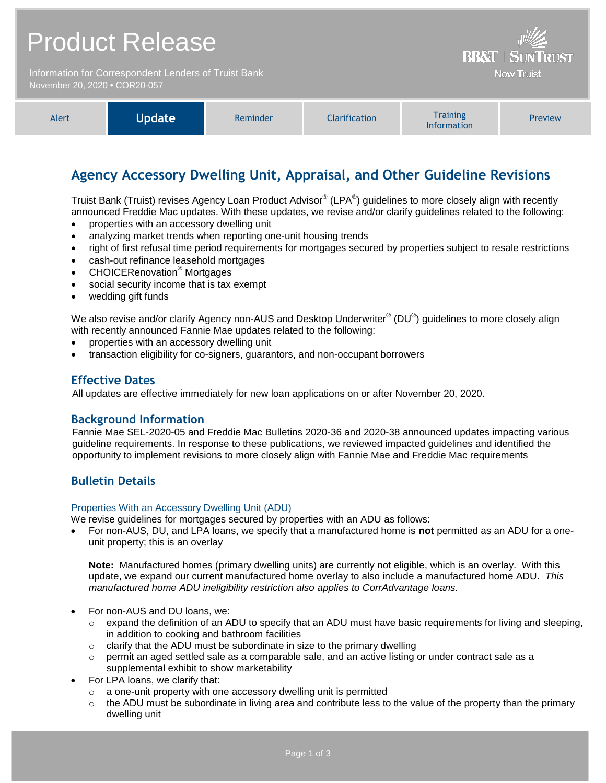| <b>Product Release</b>                                                                | <b>BB&amp;T   SUNTRUST</b> |
|---------------------------------------------------------------------------------------|----------------------------|
| Information for Correspondent Lenders of Truist Bank<br>November 20, 2020 . COR20-057 | <b>Now Truist</b>          |
|                                                                                       |                            |

| Alert | <b>Update</b> | Reminder | <b>Clarification</b> | <b>Training</b><br><b>Information</b> | Preview |
|-------|---------------|----------|----------------------|---------------------------------------|---------|
|-------|---------------|----------|----------------------|---------------------------------------|---------|

# **Agency Accessory Dwelling Unit, Appraisal, and Other Guideline Revisions**

Truist Bank (Truist) revises Agency Loan Product Advisor® (LPA®) guidelines to more closely align with recently announced Freddie Mac updates. With these updates, we revise and/or clarify guidelines related to the following:

- properties with an accessory dwelling unit
- analyzing market trends when reporting one-unit housing trends
- right of first refusal time period requirements for mortgages secured by properties subject to resale restrictions
- cash-out refinance leasehold mortgages
- CHOICERenovation® Mortgages
- social security income that is tax exempt
- wedding gift funds

We also revise and/or clarify Agency non-AUS and Desktop Underwriter $^{\circ}$  (DU $^{\circ}$ ) guidelines to more closely align with recently announced Fannie Mae updates related to the following:

- properties with an accessory dwelling unit
- transaction eligibility for co-signers, guarantors, and non-occupant borrowers

## **Effective Dates**

All updates are effective immediately for new loan applications on or after November 20, 2020.

## **Background Information**

Fannie Mae SEL-2020-05 and Freddie Mac Bulletins 2020-36 and 2020-38 announced updates impacting various guideline requirements. In response to these publications, we reviewed impacted guidelines and identified the opportunity to implement revisions to more closely align with Fannie Mae and Freddie Mac requirements

# **Bulletin Details**

#### Properties With an Accessory Dwelling Unit (ADU)

- We revise guidelines for mortgages secured by properties with an ADU as follows:
- For non-AUS, DU, and LPA loans, we specify that a manufactured home is **not** permitted as an ADU for a oneunit property; this is an overlay

**Note:** Manufactured homes (primary dwelling units) are currently not eligible, which is an overlay. With this update, we expand our current manufactured home overlay to also include a manufactured home ADU. *This manufactured home ADU ineligibility restriction also applies to CorrAdvantage loans.*

- For non-AUS and DU loans, we:
	- $\circ$  expand the definition of an ADU to specify that an ADU must have basic requirements for living and sleeping, in addition to cooking and bathroom facilities
	- $\circ$  clarify that the ADU must be subordinate in size to the primary dwelling
	- $\circ$  permit an aged settled sale as a comparable sale, and an active listing or under contract sale as a supplemental exhibit to show marketability
- For LPA loans, we clarify that:
	- $\circ$  a one-unit property with one accessory dwelling unit is permitted
	- $\circ$  the ADU must be subordinate in living area and contribute less to the value of the property than the primary dwelling unit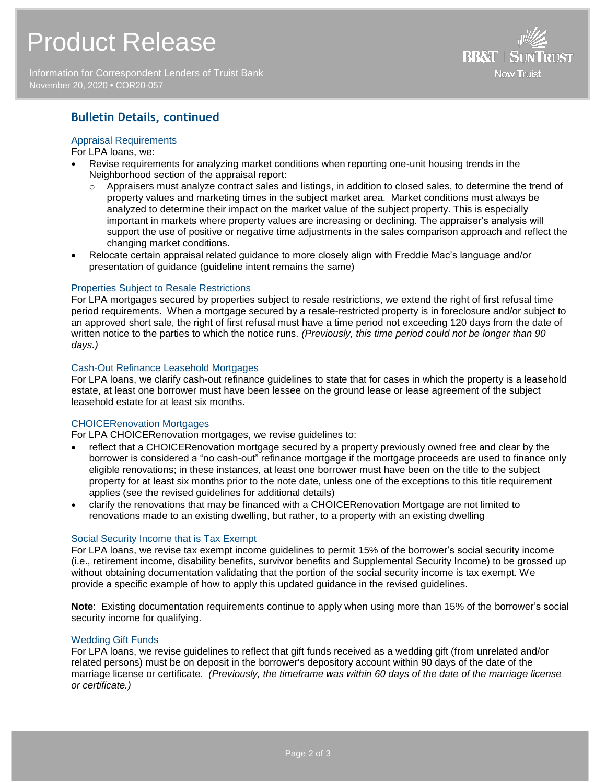# Product Release

Information for Correspondent Lenders of Truist Bank November 20, 2020 **•** COR20-057



# **Bulletin Details, continued**

#### Appraisal Requirements

For LPA loans, we:

- Revise requirements for analyzing market conditions when reporting one-unit housing trends in the Neighborhood section of the appraisal report:
	- $\circ$  Appraisers must analyze contract sales and listings, in addition to closed sales, to determine the trend of property values and marketing times in the subject market area. Market conditions must always be analyzed to determine their impact on the market value of the subject property. This is especially important in markets where property values are increasing or declining. The appraiser's analysis will support the use of positive or negative time adjustments in the sales comparison approach and reflect the changing market conditions.
- Relocate certain appraisal related guidance to more closely align with Freddie Mac's language and/or presentation of guidance (guideline intent remains the same)

#### Properties Subject to Resale Restrictions

For LPA mortgages secured by properties subject to resale restrictions, we extend the right of first refusal time period requirements. When a mortgage secured by a resale-restricted property is in foreclosure and/or subject to an approved short sale, the right of first refusal must have a time period not exceeding 120 days from the date of written notice to the parties to which the notice runs. *(Previously, this time period could not be longer than 90 days.)*

#### Cash-Out Refinance Leasehold Mortgages

For LPA loans, we clarify cash-out refinance guidelines to state that for cases in which the property is a leasehold estate, at least one borrower must have been lessee on the ground lease or lease agreement of the subject leasehold estate for at least six months.

#### CHOICERenovation Mortgages

For LPA CHOICERenovation mortgages, we revise guidelines to:

- reflect that a CHOICERenovation mortgage secured by a property previously owned free and clear by the borrower is considered a "no cash-out" refinance mortgage if the mortgage proceeds are used to finance only eligible renovations; in these instances, at least one borrower must have been on the title to the subject property for at least six months prior to the note date, unless one of the exceptions to this title requirement applies (see the revised guidelines for additional details)
- clarify the renovations that may be financed with a CHOICERenovation Mortgage are not limited to renovations made to an existing dwelling, but rather, to a property with an existing dwelling

#### Social Security Income that is Tax Exempt

For LPA loans, we revise tax exempt income guidelines to permit 15% of the borrower's social security income (i.e., retirement income, disability benefits, survivor benefits and Supplemental Security Income) to be grossed up without obtaining documentation validating that the portion of the social security income is tax exempt. We provide a specific example of how to apply this updated guidance in the revised guidelines.

**Note**: Existing documentation requirements continue to apply when using more than 15% of the borrower's social security income for qualifying.

#### Wedding Gift Funds

For LPA loans, we revise guidelines to reflect that gift funds received as a wedding gift (from unrelated and/or related persons) must be on deposit in the borrower's depository account within 90 days of the date of the marriage license or certificate. *(Previously, the timeframe was within 60 days of the date of the marriage license or certificate.)*